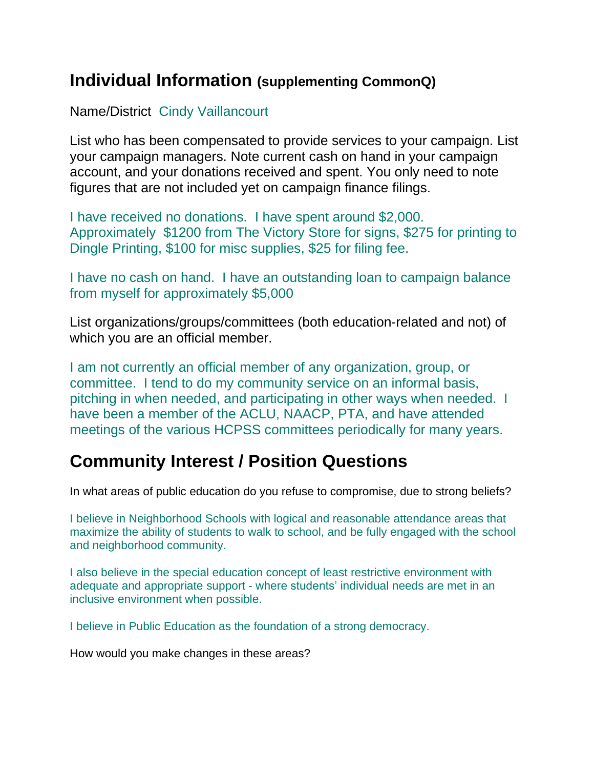## **Individual Information (supplementing CommonQ)**

Name/District Cindy Vaillancourt

List who has been compensated to provide services to your campaign. List your campaign managers. Note current cash on hand in your campaign account, and your donations received and spent. You only need to note figures that are not included yet on campaign finance filings.

I have received no donations. I have spent around \$2,000. Approximately \$1200 from The Victory Store for signs, \$275 for printing to Dingle Printing, \$100 for misc supplies, \$25 for filing fee.

I have no cash on hand. I have an outstanding loan to campaign balance from myself for approximately \$5,000

List organizations/groups/committees (both education-related and not) of which you are an official member.

I am not currently an official member of any organization, group, or committee. I tend to do my community service on an informal basis, pitching in when needed, and participating in other ways when needed. I have been a member of the ACLU, NAACP, PTA, and have attended meetings of the various HCPSS committees periodically for many years.

## **Community Interest / Position Questions**

In what areas of public education do you refuse to compromise, due to strong beliefs?

I believe in Neighborhood Schools with logical and reasonable attendance areas that maximize the ability of students to walk to school, and be fully engaged with the school and neighborhood community.

I also believe in the special education concept of least restrictive environment with adequate and appropriate support - where students' individual needs are met in an inclusive environment when possible.

I believe in Public Education as the foundation of a strong democracy.

How would you make changes in these areas?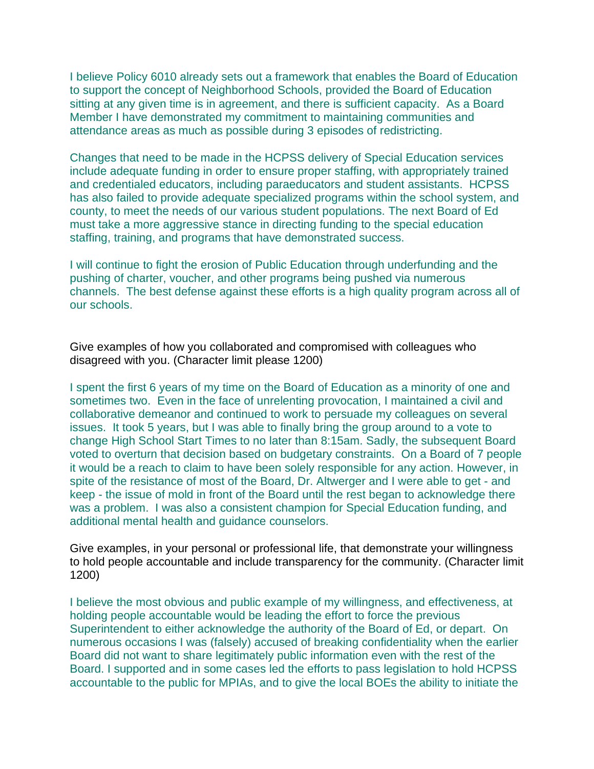I believe Policy 6010 already sets out a framework that enables the Board of Education to support the concept of Neighborhood Schools, provided the Board of Education sitting at any given time is in agreement, and there is sufficient capacity. As a Board Member I have demonstrated my commitment to maintaining communities and attendance areas as much as possible during 3 episodes of redistricting.

Changes that need to be made in the HCPSS delivery of Special Education services include adequate funding in order to ensure proper staffing, with appropriately trained and credentialed educators, including paraeducators and student assistants. HCPSS has also failed to provide adequate specialized programs within the school system, and county, to meet the needs of our various student populations. The next Board of Ed must take a more aggressive stance in directing funding to the special education staffing, training, and programs that have demonstrated success.

I will continue to fight the erosion of Public Education through underfunding and the pushing of charter, voucher, and other programs being pushed via numerous channels. The best defense against these efforts is a high quality program across all of our schools.

Give examples of how you collaborated and compromised with colleagues who disagreed with you. (Character limit please 1200)

I spent the first 6 years of my time on the Board of Education as a minority of one and sometimes two. Even in the face of unrelenting provocation, I maintained a civil and collaborative demeanor and continued to work to persuade my colleagues on several issues. It took 5 years, but I was able to finally bring the group around to a vote to change High School Start Times to no later than 8:15am. Sadly, the subsequent Board voted to overturn that decision based on budgetary constraints. On a Board of 7 people it would be a reach to claim to have been solely responsible for any action. However, in spite of the resistance of most of the Board, Dr. Altwerger and I were able to get - and keep - the issue of mold in front of the Board until the rest began to acknowledge there was a problem. I was also a consistent champion for Special Education funding, and additional mental health and guidance counselors.

Give examples, in your personal or professional life, that demonstrate your willingness to hold people accountable and include transparency for the community. (Character limit 1200)

I believe the most obvious and public example of my willingness, and effectiveness, at holding people accountable would be leading the effort to force the previous Superintendent to either acknowledge the authority of the Board of Ed, or depart. On numerous occasions I was (falsely) accused of breaking confidentiality when the earlier Board did not want to share legitimately public information even with the rest of the Board. I supported and in some cases led the efforts to pass legislation to hold HCPSS accountable to the public for MPIAs, and to give the local BOEs the ability to initiate the